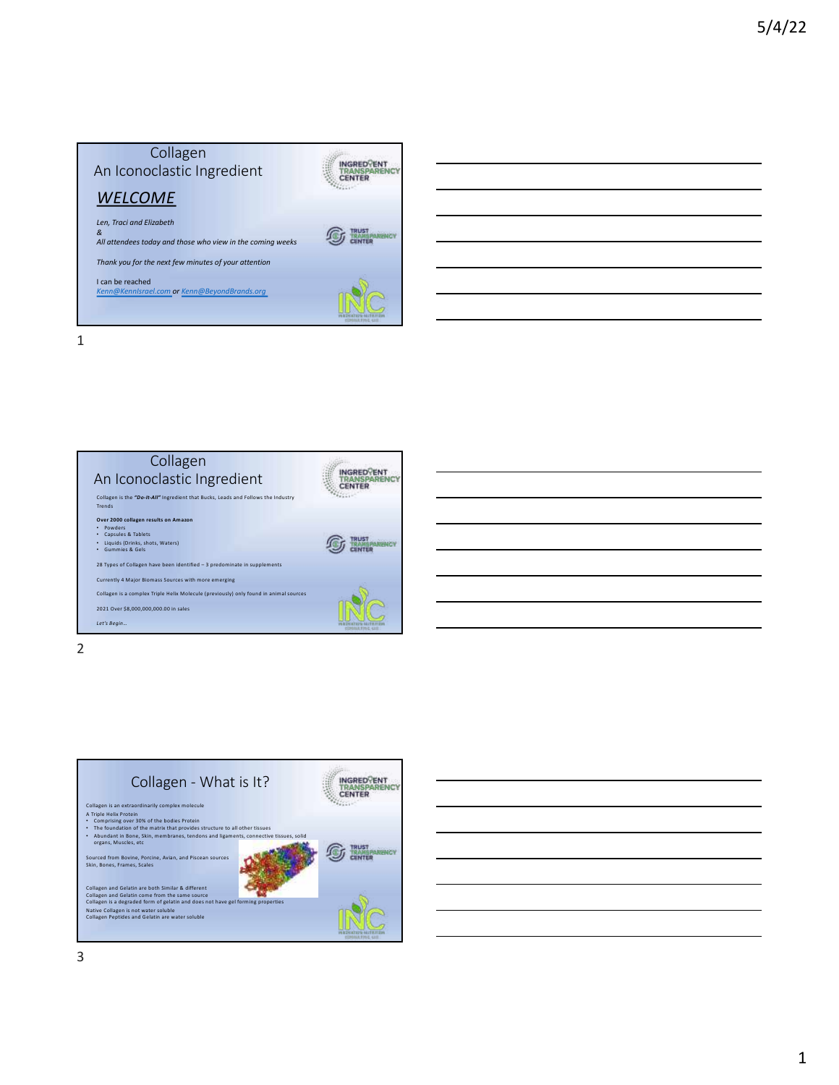

## 1



## INGRED<br>
TRANSPARENCY<br>
CENTER<br>
CENTER Collagen - What is It? Collagen is an extraordinarily complex molecule<br>• Comprising coer 30% of the bodies Protein<br>• The foundation of the matrix that provides structure to all other tissues<br>• The foundation of the matrix that provides structure **G Win** Sourced from Bovine, Porcine, Avian, and Piscean sources Skin, Bones, Frames, Scales Collagen and Gelatin are both Similar & different<br>Collagen and Gelatin come from the same source<br>Collagen is a degraded form of gelatin and does not have gel forming properties<br>Native Collagen is not water soluble<br>Collagen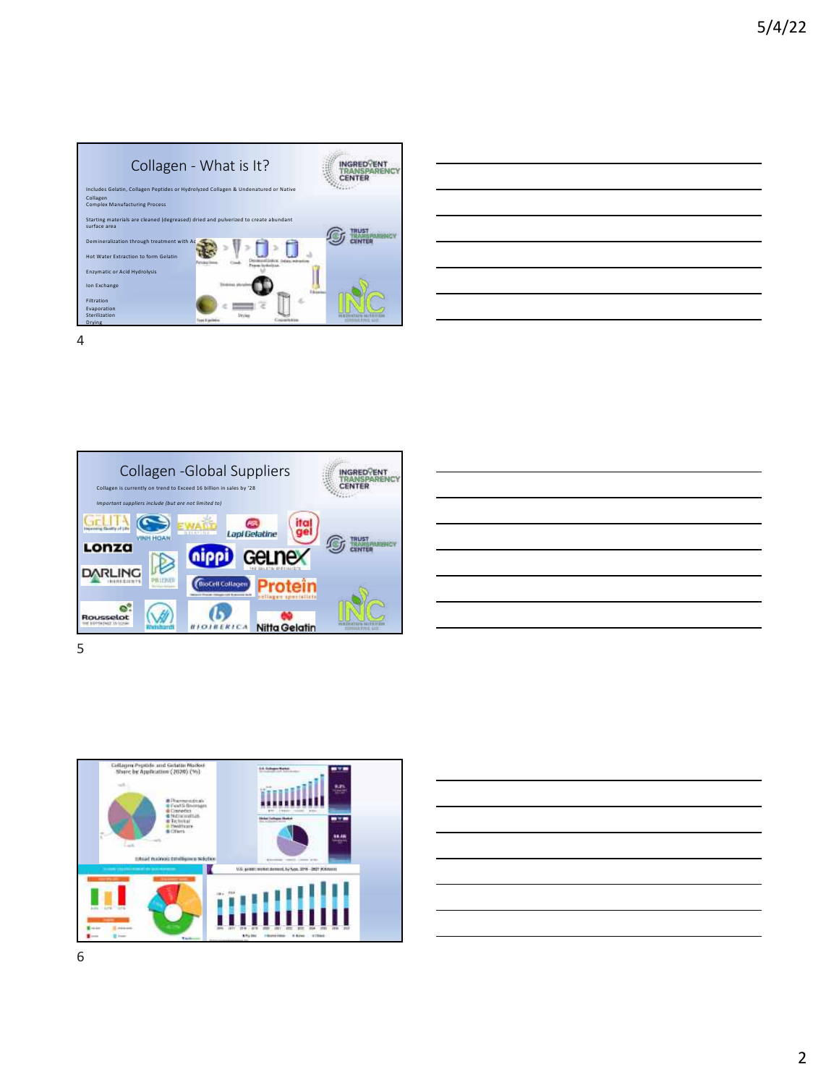

|                                                                            | __     |
|----------------------------------------------------------------------------|--------|
|                                                                            | $\sim$ |
|                                                                            |        |
|                                                                            | ______ |
| the control of the control of the control of the control of the control of |        |







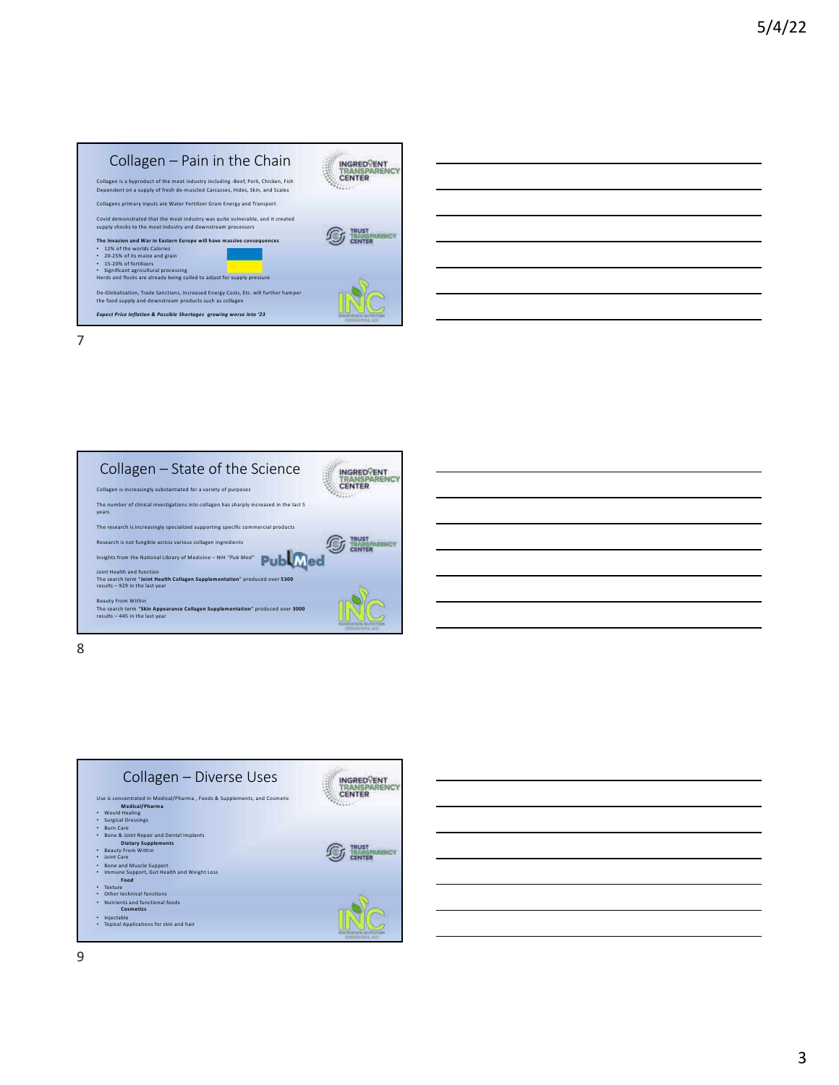